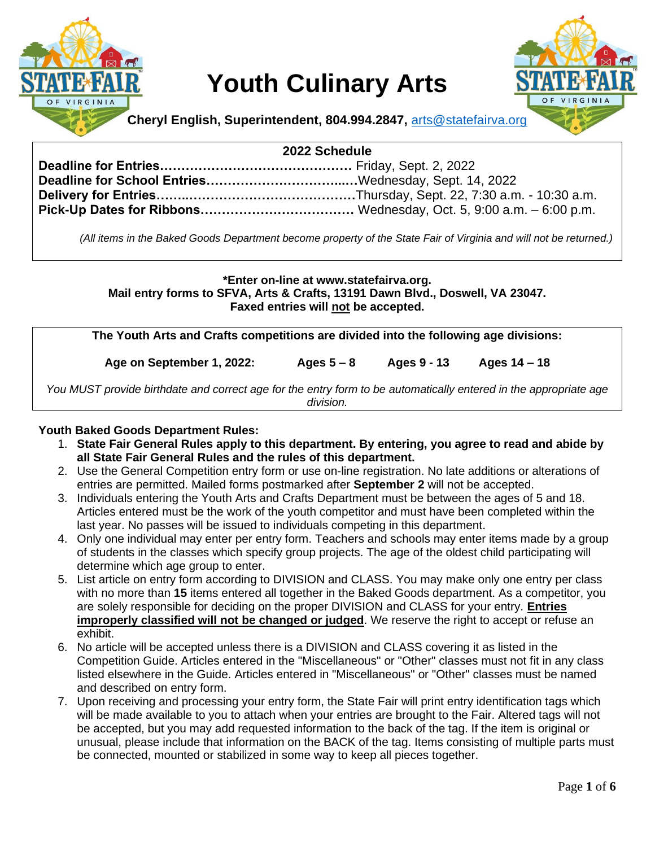

# **Youth Culinary Arts**



**Cheryl English, Superintendent, 804.994.2847,** [arts@statefairva.org](mailto:arts@statefairva.org)

# **2022 Schedule**

*(All items in the Baked Goods Department become property of the State Fair of Virginia and will not be returned.)*

#### **\*Enter on-line at www.statefairva.org. Mail entry forms to SFVA, Arts & Crafts, 13191 Dawn Blvd., Doswell, VA 23047. Faxed entries will not be accepted.**

**The Youth Arts and Crafts competitions are divided into the following age divisions:**

**Age on September 1, 2022: Ages 5 – 8 Ages 9 - 13 Ages 14 – 18**

*You MUST provide birthdate and correct age for the entry form to be automatically entered in the appropriate age division.*

#### **Youth Baked Goods Department Rules:**

- 1. **State Fair General Rules apply to this department. By entering, you agree to read and abide by all State Fair General Rules and the rules of this department.**
- 2. Use the General Competition entry form or use on-line registration. No late additions or alterations of entries are permitted. Mailed forms postmarked after **September 2** will not be accepted.
- 3. Individuals entering the Youth Arts and Crafts Department must be between the ages of 5 and 18. Articles entered must be the work of the youth competitor and must have been completed within the last year. No passes will be issued to individuals competing in this department.
- 4. Only one individual may enter per entry form. Teachers and schools may enter items made by a group of students in the classes which specify group projects. The age of the oldest child participating will determine which age group to enter.
- 5. List article on entry form according to DIVISION and CLASS. You may make only one entry per class with no more than **15** items entered all together in the Baked Goods department. As a competitor, you are solely responsible for deciding on the proper DIVISION and CLASS for your entry. **Entries improperly classified will not be changed or judged**. We reserve the right to accept or refuse an exhibit.
- 6. No article will be accepted unless there is a DIVISION and CLASS covering it as listed in the Competition Guide. Articles entered in the "Miscellaneous" or "Other" classes must not fit in any class listed elsewhere in the Guide. Articles entered in "Miscellaneous" or "Other" classes must be named and described on entry form.
- 7. Upon receiving and processing your entry form, the State Fair will print entry identification tags which will be made available to you to attach when your entries are brought to the Fair. Altered tags will not be accepted, but you may add requested information to the back of the tag. If the item is original or unusual, please include that information on the BACK of the tag. Items consisting of multiple parts must be connected, mounted or stabilized in some way to keep all pieces together.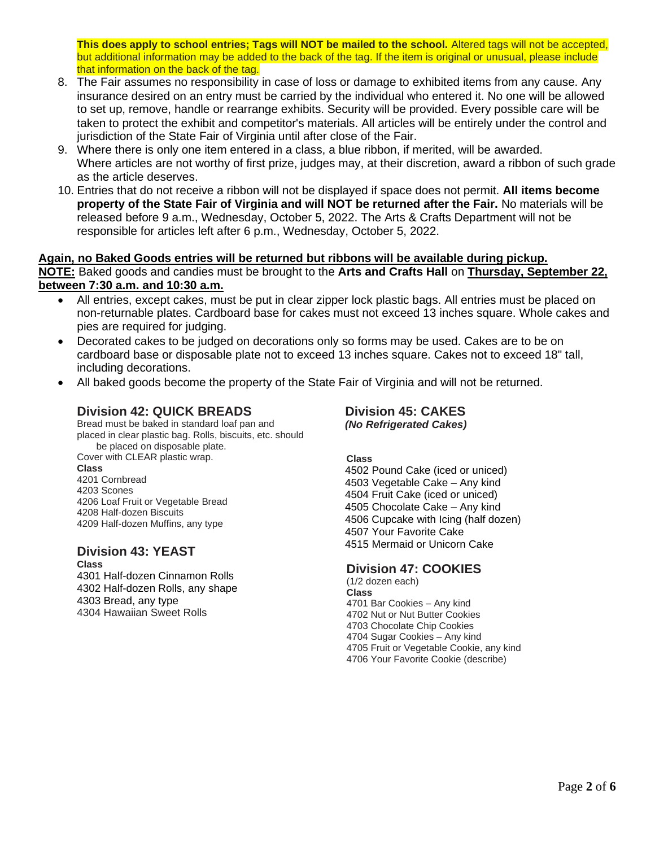**This does apply to school entries; Tags will NOT be mailed to the school.** Altered tags will not be accepted, but additional information may be added to the back of the tag. If the item is original or unusual, please include that information on the back of the tag.

- 8. The Fair assumes no responsibility in case of loss or damage to exhibited items from any cause. Any insurance desired on an entry must be carried by the individual who entered it. No one will be allowed to set up, remove, handle or rearrange exhibits. Security will be provided. Every possible care will be taken to protect the exhibit and competitor's materials. All articles will be entirely under the control and jurisdiction of the State Fair of Virginia until after close of the Fair.
- 9. Where there is only one item entered in a class, a blue ribbon, if merited, will be awarded. Where articles are not worthy of first prize, judges may, at their discretion, award a ribbon of such grade as the article deserves.
- 10. Entries that do not receive a ribbon will not be displayed if space does not permit. **All items become property of the State Fair of Virginia and will NOT be returned after the Fair.** No materials will be released before 9 a.m., Wednesday, October 5, 2022. The Arts & Crafts Department will not be responsible for articles left after 6 p.m., Wednesday, October 5, 2022.

**Again, no Baked Goods entries will be returned but ribbons will be available during pickup. NOTE:** Baked goods and candies must be brought to the **Arts and Crafts Hall** on **Thursday, September 22, between 7:30 a.m. and 10:30 a.m.**

- All entries, except cakes, must be put in clear zipper lock plastic bags. All entries must be placed on non-returnable plates. Cardboard base for cakes must not exceed 13 inches square. Whole cakes and pies are required for judging.
- Decorated cakes to be judged on decorations only so forms may be used. Cakes are to be on cardboard base or disposable plate not to exceed 13 inches square. Cakes not to exceed 18" tall, including decorations.
- All baked goods become the property of the State Fair of Virginia and will not be returned.

## **Division 42: QUICK BREADS**

Bread must be baked in standard loaf pan and placed in clear plastic bag. Rolls, biscuits, etc. should be placed on disposable plate. Cover with CLEAR plastic wrap. **Class** 4201 Cornbread 4203 Scones 4206 Loaf Fruit or Vegetable Bread 4208 Half-dozen Biscuits 4209 Half-dozen Muffins, any type

## **Division 43: YEAST**

**Class** 4301 Half-dozen Cinnamon Rolls 4302 Half-dozen Rolls, any shape 4303 Bread, any type 4304 Hawaiian Sweet Rolls

 **Division 45: CAKES**  *(No Refrigerated Cakes)*

**Class**

 4502 Pound Cake (iced or uniced) 4503 Vegetable Cake – Any kind 4504 Fruit Cake (iced or uniced) 4505 Chocolate Cake – Any kind 4506 Cupcake with Icing (half dozen) 4507 Your Favorite Cake 4515 Mermaid or Unicorn Cake

#### **Division 47: COOKIES**

(1/2 dozen each) **Class** 4701 Bar Cookies – Any kind 4702 Nut or Nut Butter Cookies 4703 Chocolate Chip Cookies 4704 Sugar Cookies – Any kind 4705 Fruit or Vegetable Cookie, any kind 4706 Your Favorite Cookie (describe)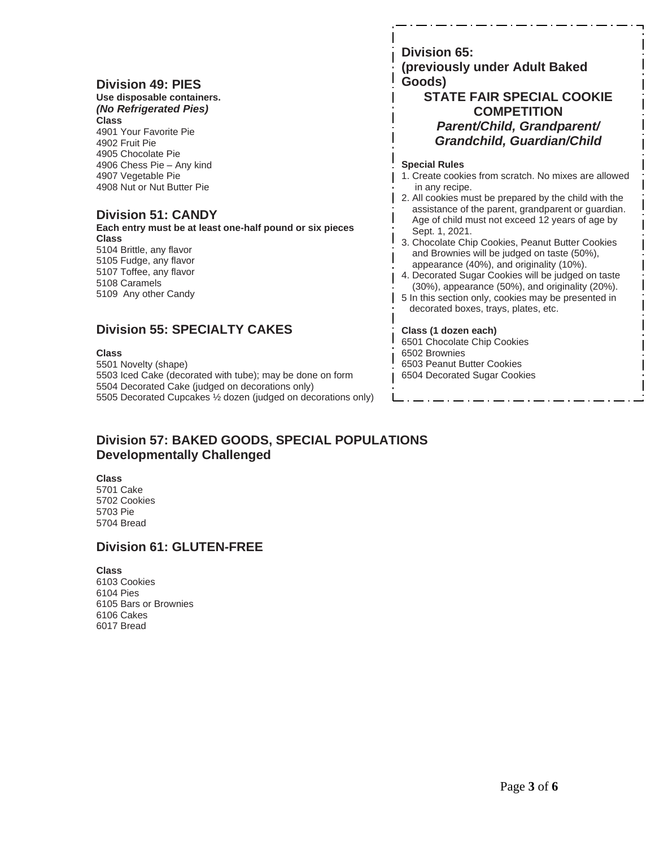#### **Division 49: PIES**

#### **Use disposable containers.**  *(No Refrigerated Pies)*

**Class** 4901 Your Favorite Pie 4902 Fruit Pie 4905 Chocolate Pie 4906 Chess Pie – Any kind 4907 Vegetable Pie 4908 Nut or Nut Butter Pie

# **Division 51: CANDY**

**Each entry must be at least one-half pound or six pieces Class** 5104 Brittle, any flavor 5105 Fudge, any flavor 5107 Toffee, any flavor 5108 Caramels 5109 Any other Candy

# **Division 55: SPECIALTY CAKES**

#### **Class**

5501 Novelty (shape) 5503 Iced Cake (decorated with tube); may be done on form 5504 Decorated Cake (judged on decorations only) 5505 Decorated Cupcakes ½ dozen (judged on decorations only)

## **Division 65: (previously under Adult Baked Goods) STATE FAIR SPECIAL COOKIE COMPETITION** *Parent/Child, Grandparent/ Grandchild, Guardian/Child*

#### **Special Rules**

- 1. Create cookies from scratch. No mixes are allowed in any recipe.
- 2. All cookies must be prepared by the child with the assistance of the parent, grandparent or guardian. Age of child must not exceed 12 years of age by Sept. 1, 2021.
- 3. Chocolate Chip Cookies, Peanut Butter Cookies and Brownies will be judged on taste (50%), appearance (40%), and originality (10%).
- 4. Decorated Sugar Cookies will be judged on taste (30%), appearance (50%), and originality (20%).
- 5 In this section only, cookies may be presented in decorated boxes, trays, plates, etc.

#### **Class (1 dozen each)**

- 6501 Chocolate Chip Cookies
- 6502 Brownies
- 6503 Peanut Butter Cookies
- 6504 Decorated Sugar Cookies

# **Division 57: BAKED GOODS, SPECIAL POPULATIONS Developmentally Challenged**

#### **Class**

5701 Cake 5702 Cookies 5703 Pie 5704 Bread

## **Division 61: GLUTEN-FREE**

#### **Class**

6103 Cookies 6104 Pies 6105 Bars or Brownies 6106 Cakes 6017 Bread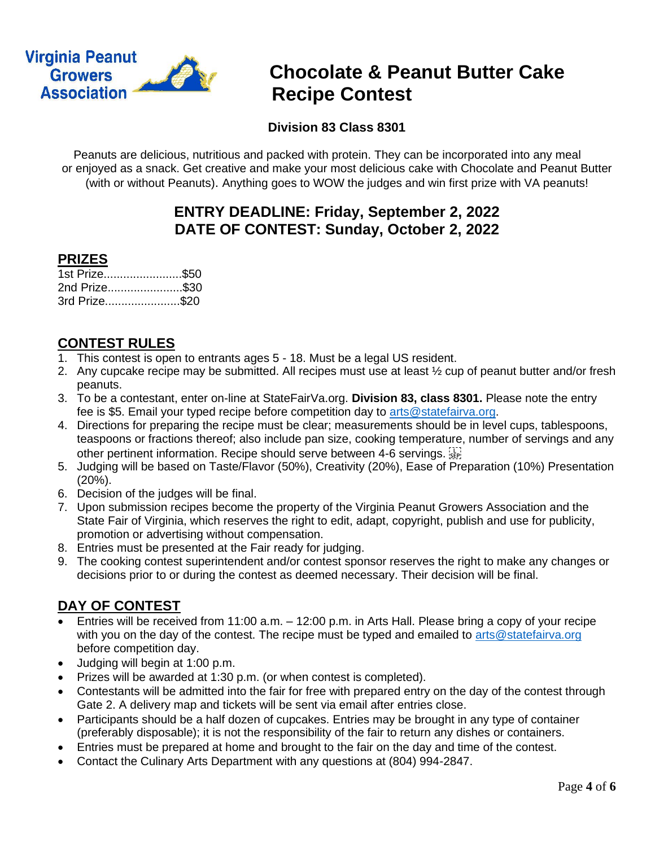

# **Chocolate & Peanut Butter Cake**

# **Division 83 Class 8301**

Peanuts are delicious, nutritious and packed with protein. They can be incorporated into any meal or enjoyed as a snack. Get creative and make your most delicious cake with Chocolate and Peanut Butter (with or without Peanuts). Anything goes to WOW the judges and win first prize with VA peanuts!

# **ENTRY DEADLINE: Friday, September 2, 2022 DATE OF CONTEST: Sunday, October 2, 2022**

# **PRIZES**

| 1st Prize\$50 |  |
|---------------|--|
| 2nd Prize\$30 |  |
| 3rd Prize\$20 |  |

# **CONTEST RULES**

- 1. This contest is open to entrants ages 5 18. Must be a legal US resident.
- 2. Any cupcake recipe may be submitted. All recipes must use at least ½ cup of peanut butter and/or fresh peanuts.
- 3. To be a contestant, enter on-line at StateFairVa.org. **Division 83, class 8301.** Please note the entry fee is \$5. Email your typed recipe before competition day to [arts@statefairva.org.](mailto:arts@statefairva.org)
- 4. Directions for preparing the recipe must be clear; measurements should be in level cups, tablespoons, teaspoons or fractions thereof; also include pan size, cooking temperature, number of servings and any other pertinent information. Recipe should serve between 4-6 servings.
- 5. Judging will be based on Taste/Flavor (50%), Creativity (20%), Ease of Preparation (10%) Presentation (20%).
- 6. Decision of the judges will be final.
- 7. Upon submission recipes become the property of the Virginia Peanut Growers Association and the State Fair of Virginia, which reserves the right to edit, adapt, copyright, publish and use for publicity, promotion or advertising without compensation.
- 8. Entries must be presented at the Fair ready for judging.
- 9. The cooking contest superintendent and/or contest sponsor reserves the right to make any changes or decisions prior to or during the contest as deemed necessary. Their decision will be final.

# **DAY OF CONTEST**

- Entries will be received from 11:00 a.m. 12:00 p.m. in Arts Hall. Please bring a copy of your recipe with you on the day of the contest. The recipe must be typed and emailed to [arts@statefairva.org](mailto:arts@statefairva.org) before competition day.
- Judging will begin at 1:00 p.m.
- Prizes will be awarded at 1:30 p.m. (or when contest is completed).
- Contestants will be admitted into the fair for free with prepared entry on the day of the contest through Gate 2. A delivery map and tickets will be sent via email after entries close.
- Participants should be a half dozen of cupcakes. Entries may be brought in any type of container (preferably disposable); it is not the responsibility of the fair to return any dishes or containers.
- Entries must be prepared at home and brought to the fair on the day and time of the contest.
- Contact the Culinary Arts Department with any questions at (804) 994-2847.